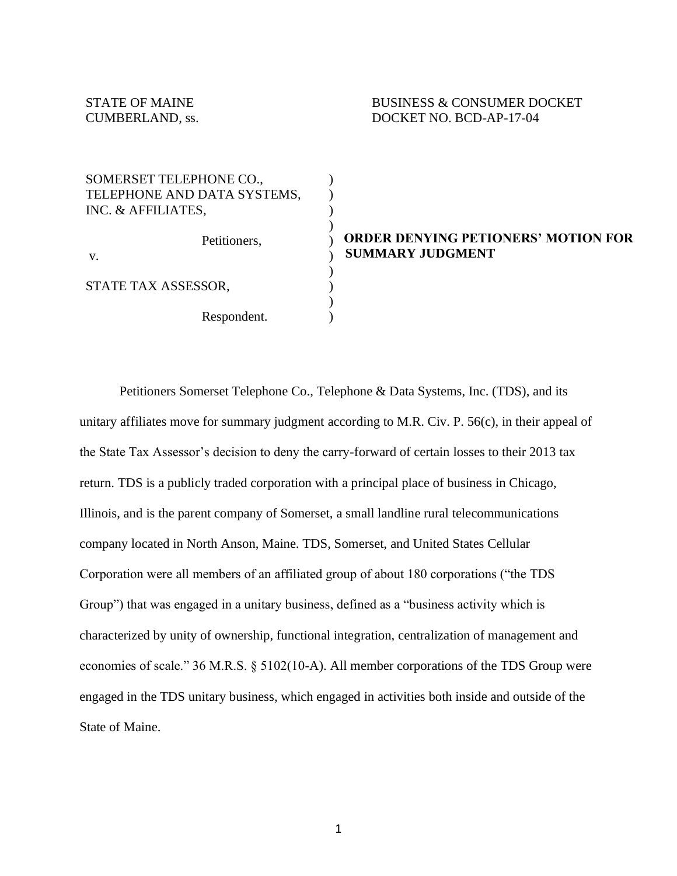STATE OF MAINE BUSINESS & CONSUMER DOCKET CUMBERLAND, ss. DOCKET NO. BCD-AP-17-04

| SOMERSET TELEPHONE CO.,     |
|-----------------------------|
| TELEPHONE AND DATA SYSTEMS, |
| INC. & AFFILIATES,          |
|                             |
| Petitioners,                |
| V.                          |
|                             |
| STATE TAX ASSESSOR,         |
|                             |

Respondent.

SOMERSET TELEPHONE CO.,

### **ORDER DENYING PETIONERS' MOTION FOR SUMMARY JUDGMENT**

Petitioners Somerset Telephone Co., Telephone & Data Systems, Inc. (TDS), and its unitary affiliates move for summary judgment according to M.R. Civ. P. 56(c), in their appeal of the State Tax Assessor's decision to deny the carry-forward of certain losses to their 2013 tax return. TDS is a publicly traded corporation with a principal place of business in Chicago, Illinois, and is the parent company of Somerset, a small landline rural telecommunications company located in North Anson, Maine. TDS, Somerset, and United States Cellular Corporation were all members of an affiliated group of about 180 corporations ("the TDS Group") that was engaged in a unitary business, defined as a "business activity which is characterized by unity of ownership, functional integration, centralization of management and economies of scale." 36 M.R.S. § 5102(10-A). All member corporations of the TDS Group were engaged in the TDS unitary business, which engaged in activities both inside and outside of the State of Maine.

) ) ) ) ) ) ) ) ) )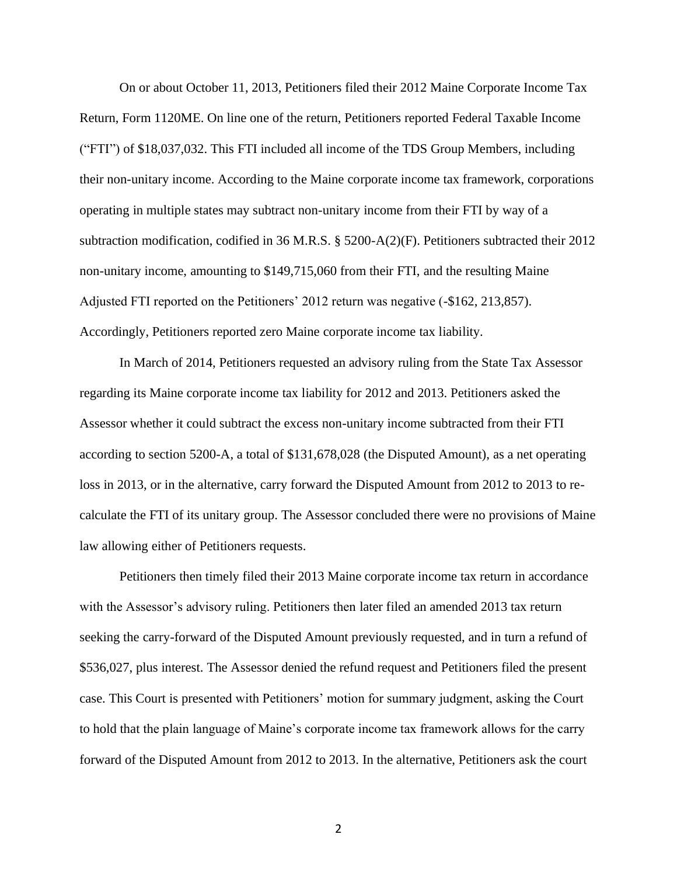On or about October 11, 2013, Petitioners filed their 2012 Maine Corporate Income Tax Return, Form 1120ME. On line one of the return, Petitioners reported Federal Taxable Income ("FTI") of \$18,037,032. This FTI included all income of the TDS Group Members, including their non-unitary income. According to the Maine corporate income tax framework, corporations operating in multiple states may subtract non-unitary income from their FTI by way of a subtraction modification, codified in 36 M.R.S. § 5200-A(2)(F). Petitioners subtracted their 2012 non-unitary income, amounting to \$149,715,060 from their FTI, and the resulting Maine Adjusted FTI reported on the Petitioners' 2012 return was negative (-\$162, 213,857). Accordingly, Petitioners reported zero Maine corporate income tax liability.

In March of 2014, Petitioners requested an advisory ruling from the State Tax Assessor regarding its Maine corporate income tax liability for 2012 and 2013. Petitioners asked the Assessor whether it could subtract the excess non-unitary income subtracted from their FTI according to section 5200-A, a total of \$131,678,028 (the Disputed Amount), as a net operating loss in 2013, or in the alternative, carry forward the Disputed Amount from 2012 to 2013 to recalculate the FTI of its unitary group. The Assessor concluded there were no provisions of Maine law allowing either of Petitioners requests.

Petitioners then timely filed their 2013 Maine corporate income tax return in accordance with the Assessor's advisory ruling. Petitioners then later filed an amended 2013 tax return seeking the carry-forward of the Disputed Amount previously requested, and in turn a refund of \$536,027, plus interest. The Assessor denied the refund request and Petitioners filed the present case. This Court is presented with Petitioners' motion for summary judgment, asking the Court to hold that the plain language of Maine's corporate income tax framework allows for the carry forward of the Disputed Amount from 2012 to 2013. In the alternative, Petitioners ask the court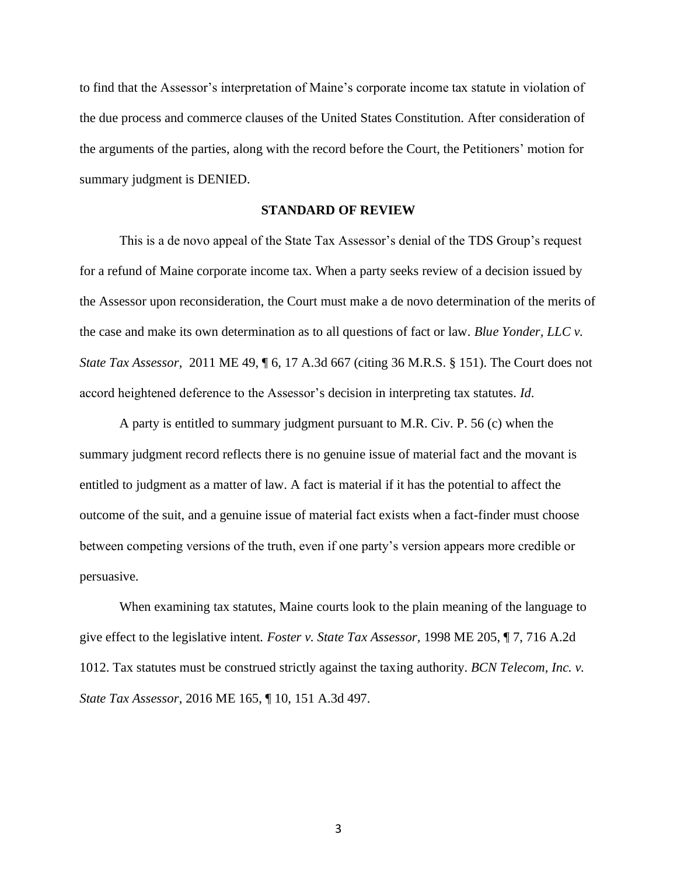to find that the Assessor's interpretation of Maine's corporate income tax statute in violation of the due process and commerce clauses of the United States Constitution. After consideration of the arguments of the parties, along with the record before the Court, the Petitioners' motion for summary judgment is DENIED.

#### **STANDARD OF REVIEW**

This is a de novo appeal of the State Tax Assessor's denial of the TDS Group's request for a refund of Maine corporate income tax. When a party seeks review of a decision issued by the Assessor upon reconsideration, the Court must make a de novo determination of the merits of the case and make its own determination as to all questions of fact or law. *Blue Yonder, LLC v. State Tax Assessor*, 2011 ME 49, 16, 17 A.3d 667 (citing 36 M.R.S. § 151). The Court does not accord heightened deference to the Assessor's decision in interpreting tax statutes. *Id*.

A party is entitled to summary judgment pursuant to M.R. Civ. P. 56 (c) when the summary judgment record reflects there is no genuine issue of material fact and the movant is entitled to judgment as a matter of law. A fact is material if it has the potential to affect the outcome of the suit, and a genuine issue of material fact exists when a fact-finder must choose between competing versions of the truth, even if one party's version appears more credible or persuasive.

When examining tax statutes, Maine courts look to the plain meaning of the language to give effect to the legislative intent. *Foster v. State Tax Assessor,* 1998 ME 205, ¶ 7, 716 A.2d 1012. Tax statutes must be construed strictly against the taxing authority. *BCN Telecom, Inc. v. State Tax Assessor*, 2016 ME 165, ¶ 10, 151 A.3d 497.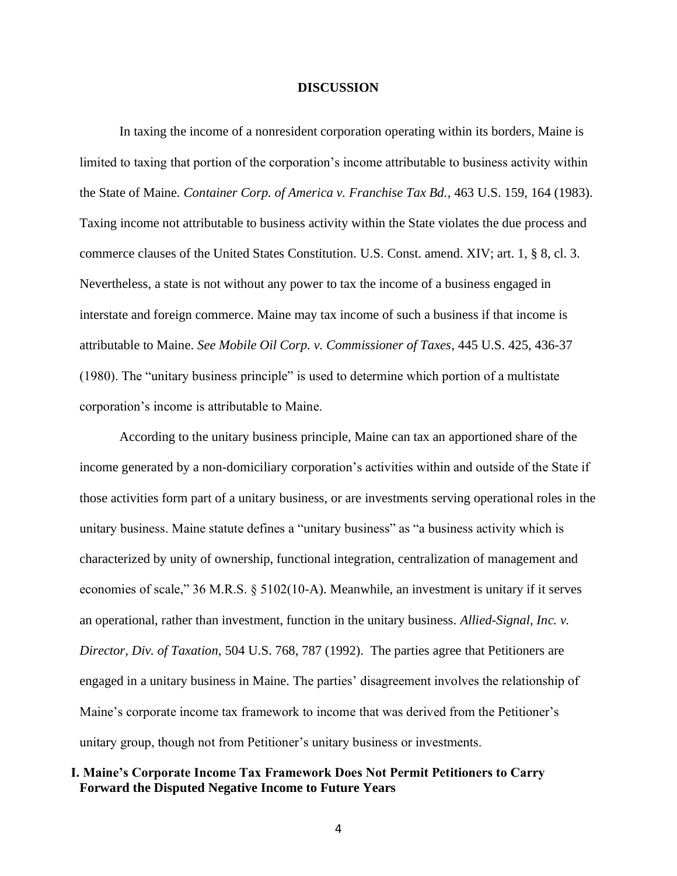#### **DISCUSSION**

In taxing the income of a nonresident corporation operating within its borders, Maine is limited to taxing that portion of the corporation's income attributable to business activity within the State of Maine. *Container Corp. of America v. Franchise Tax Bd.,* 463 U.S. 159, 164 (1983). Taxing income not attributable to business activity within the State violates the due process and commerce clauses of the United States Constitution. U.S. Const. amend. XIV; art. 1, § 8, cl. 3. Nevertheless, a state is not without any power to tax the income of a business engaged in interstate and foreign commerce. Maine may tax income of such a business if that income is attributable to Maine. *See Mobile Oil Corp. v. Commissioner of Taxes*, 445 U.S. 425, 436-37 (1980). The "unitary business principle" is used to determine which portion of a multistate corporation's income is attributable to Maine.

According to the unitary business principle, Maine can tax an apportioned share of the income generated by a non-domiciliary corporation's activities within and outside of the State if those activities form part of a unitary business, or are investments serving operational roles in the unitary business. Maine statute defines a "unitary business" as "a business activity which is characterized by unity of ownership, functional integration, centralization of management and economies of scale," 36 M.R.S. § 5102(10-A). Meanwhile, an investment is unitary if it serves an operational, rather than investment, function in the unitary business. *Allied-Signal, Inc. v. Director, Div. of Taxation,* 504 U.S. 768, 787 (1992). The parties agree that Petitioners are engaged in a unitary business in Maine. The parties' disagreement involves the relationship of Maine's corporate income tax framework to income that was derived from the Petitioner's unitary group, though not from Petitioner's unitary business or investments.

## **I. Maine's Corporate Income Tax Framework Does Not Permit Petitioners to Carry Forward the Disputed Negative Income to Future Years**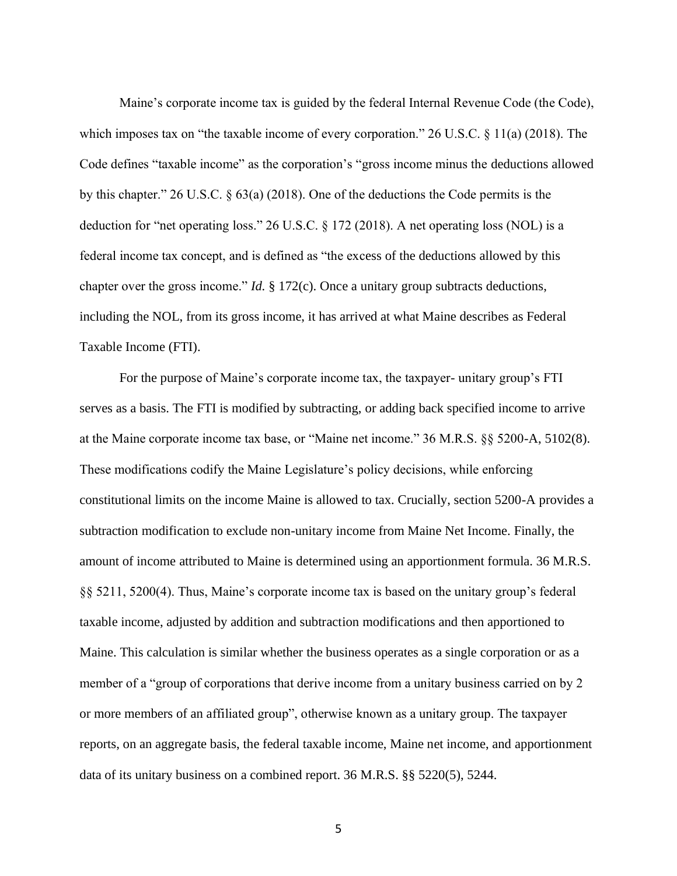Maine's corporate income tax is guided by the federal Internal Revenue Code (the Code), which imposes tax on "the taxable income of every corporation." 26 U.S.C. § 11(a) (2018). The Code defines "taxable income" as the corporation's "gross income minus the deductions allowed by this chapter." 26 U.S.C. § 63(a) (2018). One of the deductions the Code permits is the deduction for "net operating loss." 26 U.S.C. § 172 (2018). A net operating loss (NOL) is a federal income tax concept, and is defined as "the excess of the deductions allowed by this chapter over the gross income." *Id.* § 172(c). Once a unitary group subtracts deductions, including the NOL, from its gross income, it has arrived at what Maine describes as Federal Taxable Income (FTI).

For the purpose of Maine's corporate income tax, the taxpayer- unitary group's FTI serves as a basis. The FTI is modified by subtracting, or adding back specified income to arrive at the Maine corporate income tax base, or "Maine net income." 36 M.R.S. §§ 5200-A, 5102(8). These modifications codify the Maine Legislature's policy decisions, while enforcing constitutional limits on the income Maine is allowed to tax. Crucially, section 5200-A provides a subtraction modification to exclude non-unitary income from Maine Net Income. Finally, the amount of income attributed to Maine is determined using an apportionment formula. 36 M.R.S. §§ 5211, 5200(4). Thus, Maine's corporate income tax is based on the unitary group's federal taxable income, adjusted by addition and subtraction modifications and then apportioned to Maine. This calculation is similar whether the business operates as a single corporation or as a member of a "group of corporations that derive income from a unitary business carried on by 2 or more members of an affiliated group", otherwise known as a unitary group. The taxpayer reports, on an aggregate basis, the federal taxable income, Maine net income, and apportionment data of its unitary business on a combined report. 36 M.R.S. §§ 5220(5), 5244.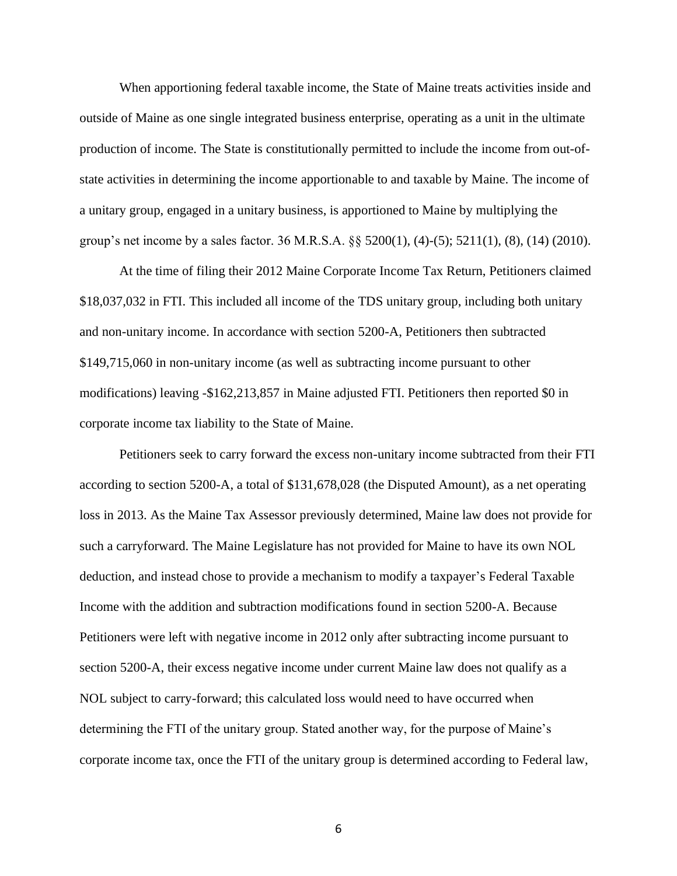When apportioning federal taxable income, the State of Maine treats activities inside and outside of Maine as one single integrated business enterprise, operating as a unit in the ultimate production of income. The State is constitutionally permitted to include the income from out-ofstate activities in determining the income apportionable to and taxable by Maine. The income of a unitary group, engaged in a unitary business, is apportioned to Maine by multiplying the group's net income by a sales factor. 36 M.R.S.A. §§ 5200(1), (4)-(5); 5211(1), (8), (14) (2010).

At the time of filing their 2012 Maine Corporate Income Tax Return, Petitioners claimed \$18,037,032 in FTI. This included all income of the TDS unitary group, including both unitary and non-unitary income. In accordance with section 5200-A, Petitioners then subtracted \$149,715,060 in non-unitary income (as well as subtracting income pursuant to other modifications) leaving -\$162,213,857 in Maine adjusted FTI. Petitioners then reported \$0 in corporate income tax liability to the State of Maine.

Petitioners seek to carry forward the excess non-unitary income subtracted from their FTI according to section 5200-A, a total of \$131,678,028 (the Disputed Amount), as a net operating loss in 2013. As the Maine Tax Assessor previously determined, Maine law does not provide for such a carryforward. The Maine Legislature has not provided for Maine to have its own NOL deduction, and instead chose to provide a mechanism to modify a taxpayer's Federal Taxable Income with the addition and subtraction modifications found in section 5200-A. Because Petitioners were left with negative income in 2012 only after subtracting income pursuant to section 5200-A, their excess negative income under current Maine law does not qualify as a NOL subject to carry-forward; this calculated loss would need to have occurred when determining the FTI of the unitary group. Stated another way, for the purpose of Maine's corporate income tax, once the FTI of the unitary group is determined according to Federal law,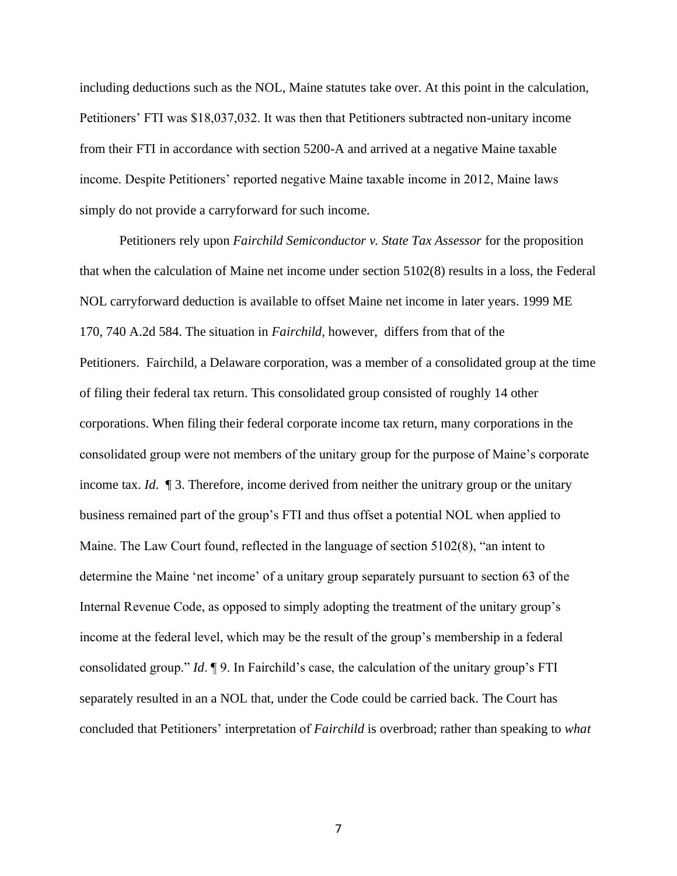including deductions such as the NOL, Maine statutes take over. At this point in the calculation, Petitioners' FTI was \$18,037,032. It was then that Petitioners subtracted non-unitary income from their FTI in accordance with section 5200-A and arrived at a negative Maine taxable income. Despite Petitioners' reported negative Maine taxable income in 2012, Maine laws simply do not provide a carryforward for such income.

Petitioners rely upon *Fairchild Semiconductor v. State Tax Assessor* for the proposition that when the calculation of Maine net income under section 5102(8) results in a loss, the Federal NOL carryforward deduction is available to offset Maine net income in later years. 1999 ME 170, 740 A.2d 584. The situation in *Fairchild,* however, differs from that of the Petitioners. Fairchild, a Delaware corporation, was a member of a consolidated group at the time of filing their federal tax return. This consolidated group consisted of roughly 14 other corporations. When filing their federal corporate income tax return, many corporations in the consolidated group were not members of the unitary group for the purpose of Maine's corporate income tax. *Id*. ¶ 3. Therefore, income derived from neither the unitrary group or the unitary business remained part of the group's FTI and thus offset a potential NOL when applied to Maine. The Law Court found, reflected in the language of section 5102(8), "an intent to determine the Maine 'net income' of a unitary group separately pursuant to section 63 of the Internal Revenue Code, as opposed to simply adopting the treatment of the unitary group's income at the federal level, which may be the result of the group's membership in a federal consolidated group." *Id*. ¶ 9. In Fairchild's case, the calculation of the unitary group's FTI separately resulted in an a NOL that, under the Code could be carried back. The Court has concluded that Petitioners' interpretation of *Fairchild* is overbroad; rather than speaking to *what*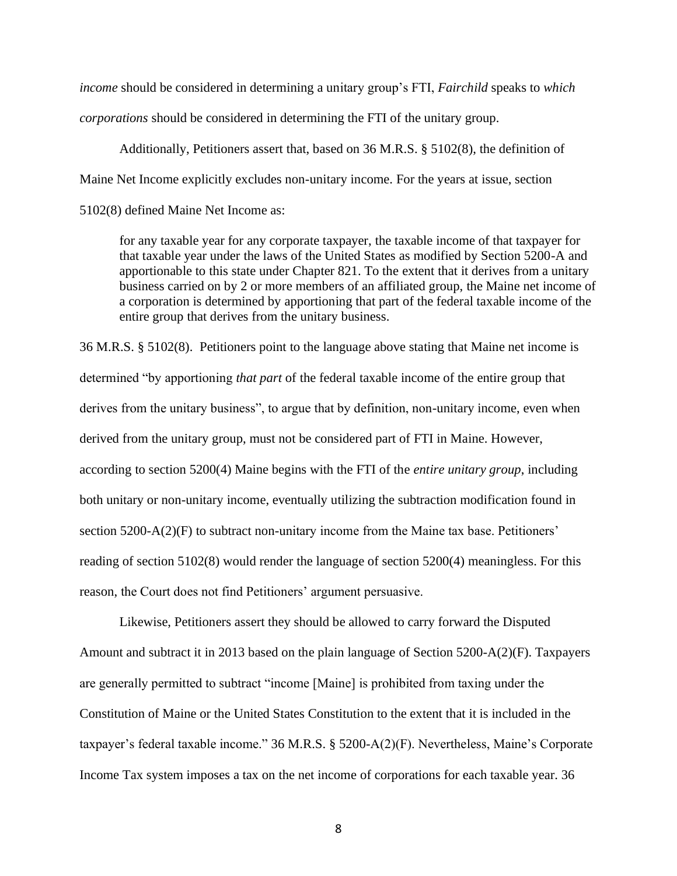*income* should be considered in determining a unitary group's FTI, *Fairchild* speaks to *which corporations* should be considered in determining the FTI of the unitary group.

Additionally, Petitioners assert that, based on 36 M.R.S. § 5102(8), the definition of Maine Net Income explicitly excludes non-unitary income. For the years at issue, section 5102(8) defined Maine Net Income as:

for any taxable year for any corporate taxpayer, the taxable income of that taxpayer for that taxable year under the laws of the United States as modified by Section 5200-A and apportionable to this state under Chapter 821. To the extent that it derives from a unitary business carried on by 2 or more members of an affiliated group, the Maine net income of a corporation is determined by apportioning that part of the federal taxable income of the entire group that derives from the unitary business.

36 M.R.S. § 5102(8). Petitioners point to the language above stating that Maine net income is determined "by apportioning *that part* of the federal taxable income of the entire group that derives from the unitary business", to argue that by definition, non-unitary income, even when derived from the unitary group, must not be considered part of FTI in Maine. However, according to section 5200(4) Maine begins with the FTI of the *entire unitary group*, including both unitary or non-unitary income, eventually utilizing the subtraction modification found in section 5200-A(2)(F) to subtract non-unitary income from the Maine tax base. Petitioners' reading of section 5102(8) would render the language of section 5200(4) meaningless. For this reason, the Court does not find Petitioners' argument persuasive.

Likewise, Petitioners assert they should be allowed to carry forward the Disputed Amount and subtract it in 2013 based on the plain language of Section 5200-A(2)(F). Taxpayers are generally permitted to subtract "income [Maine] is prohibited from taxing under the Constitution of Maine or the United States Constitution to the extent that it is included in the taxpayer's federal taxable income." 36 M.R.S. § 5200-A(2)(F). Nevertheless, Maine's Corporate Income Tax system imposes a tax on the net income of corporations for each taxable year. 36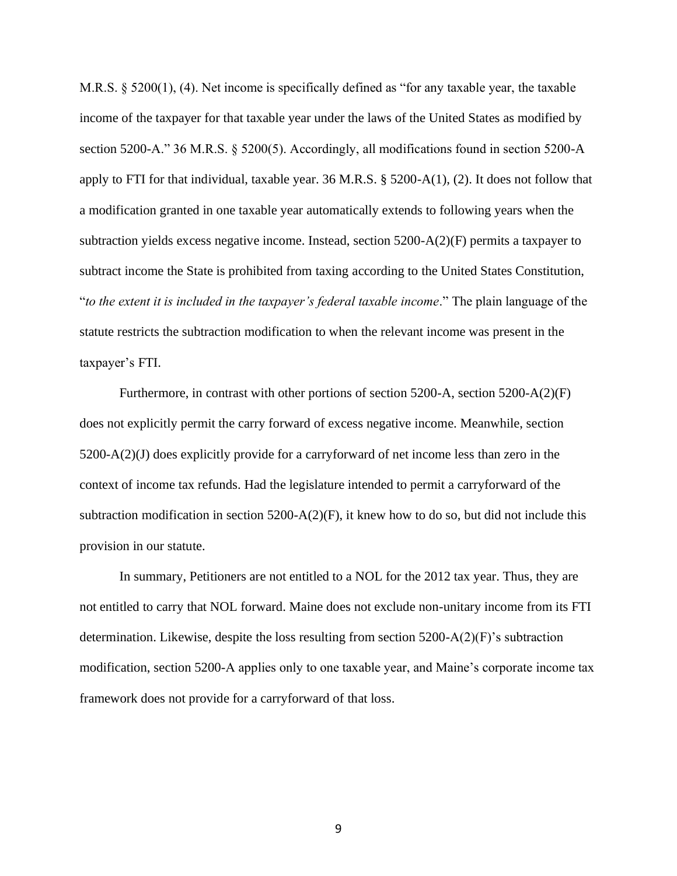M.R.S. § 5200(1), (4). Net income is specifically defined as "for any taxable year, the taxable income of the taxpayer for that taxable year under the laws of the United States as modified by section 5200-A." 36 M.R.S. § 5200(5). Accordingly, all modifications found in section 5200-A apply to FTI for that individual, taxable year. 36 M.R.S. § 5200-A(1), (2). It does not follow that a modification granted in one taxable year automatically extends to following years when the subtraction yields excess negative income. Instead, section 5200-A(2)(F) permits a taxpayer to subtract income the State is prohibited from taxing according to the United States Constitution, "*to the extent it is included in the taxpayer's federal taxable income*." The plain language of the statute restricts the subtraction modification to when the relevant income was present in the taxpayer's FTI.

Furthermore, in contrast with other portions of section 5200-A, section 5200-A(2)(F) does not explicitly permit the carry forward of excess negative income. Meanwhile, section 5200-A(2)(J) does explicitly provide for a carryforward of net income less than zero in the context of income tax refunds. Had the legislature intended to permit a carryforward of the subtraction modification in section 5200-A(2)(F), it knew how to do so, but did not include this provision in our statute.

In summary, Petitioners are not entitled to a NOL for the 2012 tax year. Thus, they are not entitled to carry that NOL forward. Maine does not exclude non-unitary income from its FTI determination. Likewise, despite the loss resulting from section 5200-A(2)(F)'s subtraction modification, section 5200-A applies only to one taxable year, and Maine's corporate income tax framework does not provide for a carryforward of that loss.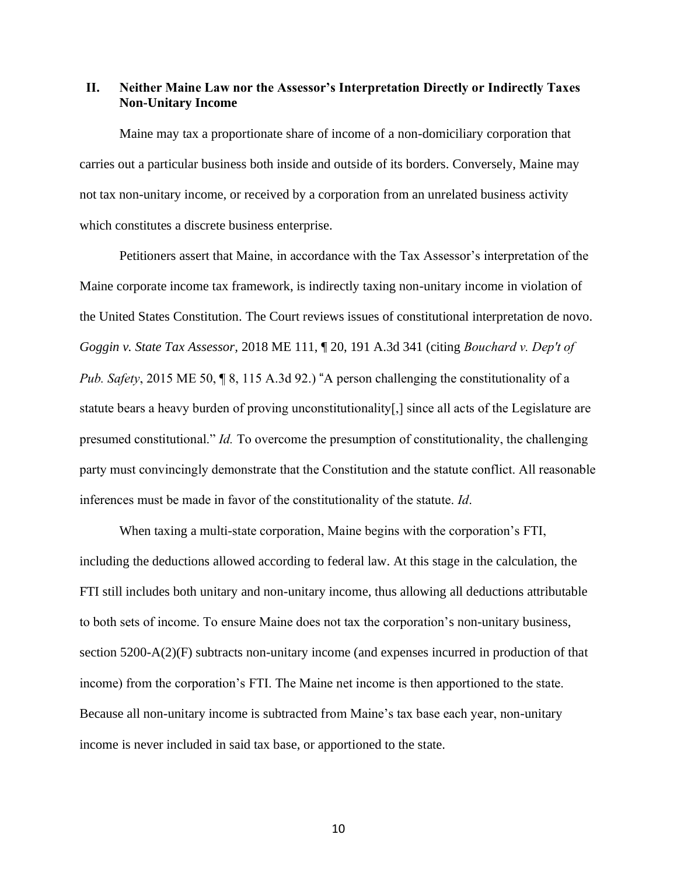## **II. Neither Maine Law nor the Assessor's Interpretation Directly or Indirectly Taxes Non-Unitary Income**

Maine may tax a proportionate share of income of a non-domiciliary corporation that carries out a particular business both inside and outside of its borders. Conversely, Maine may not tax non-unitary income, or received by a corporation from an unrelated business activity which constitutes a discrete business enterprise.

Petitioners assert that Maine, in accordance with the Tax Assessor's interpretation of the Maine corporate income tax framework, is indirectly taxing non-unitary income in violation of the United States Constitution. The Court reviews issues of constitutional interpretation de novo. *Goggin v. State Tax Assessor,* 2018 ME 111, ¶ 20, 191 A.3d 341 (citing *[Bouchard v. Dep't of](https://1.next.westlaw.com/Link/Document/FullText?findType=Y&serNum=2036223372&pubNum=0007691&originatingDoc=Ib56a25a0967611e8809390da5fe55bec&refType=RP&originationContext=document&transitionType=DocumentItem&contextData=(sc.Search))  Pub. Safety*[, 2015 ME 50, ¶ 8, 115 A.3d 92.](https://1.next.westlaw.com/Link/Document/FullText?findType=Y&serNum=2036223372&pubNum=0007691&originatingDoc=Ib56a25a0967611e8809390da5fe55bec&refType=RP&originationContext=document&transitionType=DocumentItem&contextData=(sc.Search))) "A person challenging the constitutionality of a statute bears a heavy burden of proving unconstitutionality[,] since all acts of the Legislature are presumed constitutional." *Id.* To overcome the presumption of constitutionality, the challenging party must convincingly demonstrate that the Constitution and the statute conflict. All reasonable inferences must be made in favor of the constitutionality of the statute. *Id*.

When taxing a multi-state corporation, Maine begins with the corporation's FTI, including the deductions allowed according to federal law. At this stage in the calculation, the FTI still includes both unitary and non-unitary income, thus allowing all deductions attributable to both sets of income. To ensure Maine does not tax the corporation's non-unitary business, section 5200-A(2)(F) subtracts non-unitary income (and expenses incurred in production of that income) from the corporation's FTI. The Maine net income is then apportioned to the state. Because all non-unitary income is subtracted from Maine's tax base each year, non-unitary income is never included in said tax base, or apportioned to the state.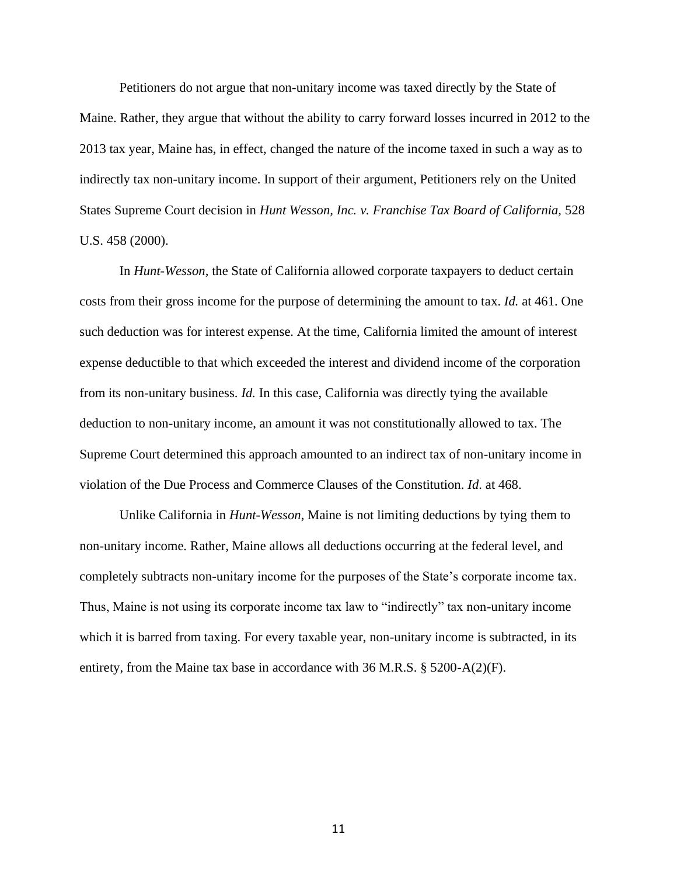Petitioners do not argue that non-unitary income was taxed directly by the State of Maine. Rather, they argue that without the ability to carry forward losses incurred in 2012 to the 2013 tax year, Maine has, in effect, changed the nature of the income taxed in such a way as to indirectly tax non-unitary income. In support of their argument, Petitioners rely on the United States Supreme Court decision in *Hunt Wesson, Inc. v. Franchise Tax Board of California*, 528 U.S. 458 (2000).

In *Hunt-Wesson,* the State of California allowed corporate taxpayers to deduct certain costs from their gross income for the purpose of determining the amount to tax. *Id.* at 461. One such deduction was for interest expense. At the time, California limited the amount of interest expense deductible to that which exceeded the interest and dividend income of the corporation from its non-unitary business. *Id.* In this case, California was directly tying the available deduction to non-unitary income, an amount it was not constitutionally allowed to tax. The Supreme Court determined this approach amounted to an indirect tax of non-unitary income in violation of the Due Process and Commerce Clauses of the Constitution. *Id*. at 468.

Unlike California in *Hunt-Wesson*, Maine is not limiting deductions by tying them to non-unitary income. Rather, Maine allows all deductions occurring at the federal level, and completely subtracts non-unitary income for the purposes of the State's corporate income tax. Thus, Maine is not using its corporate income tax law to "indirectly" tax non-unitary income which it is barred from taxing. For every taxable year, non-unitary income is subtracted, in its entirety, from the Maine tax base in accordance with 36 M.R.S. § 5200-A(2)(F).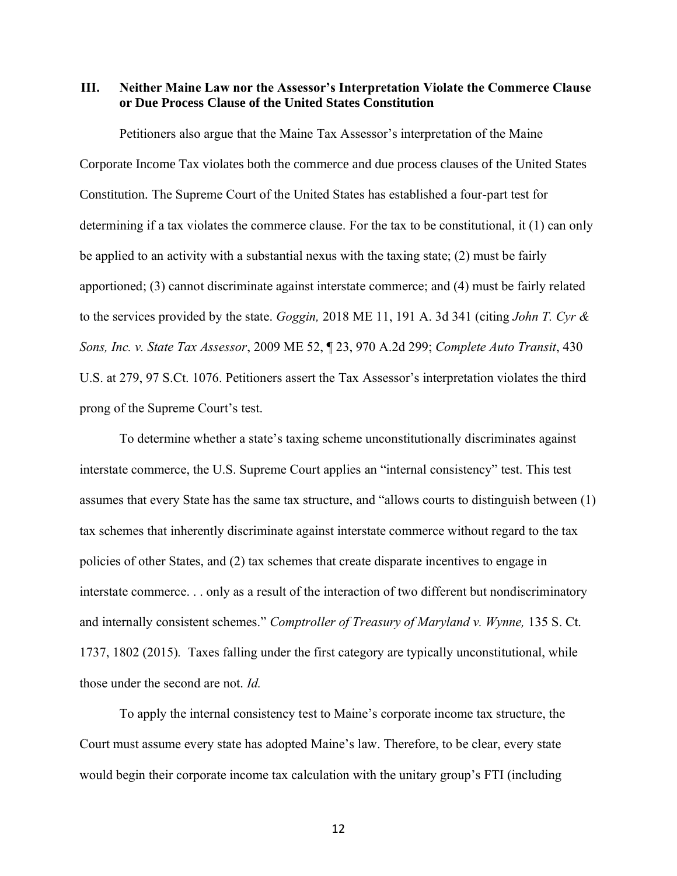**III. Neither Maine Law nor the Assessor's Interpretation Violate the Commerce Clause or Due Process Clause of the United States Constitution**

Petitioners also argue that the Maine Tax Assessor's interpretation of the Maine Corporate Income Tax violates both the commerce and due process clauses of the United States Constitution. The Supreme Court of the United States has established a four-part test for determining if a tax violates the commerce clause. For the tax to be constitutional, it (1) can only be applied to an activity with a substantial nexus with the taxing state; (2) must be fairly apportioned; (3) cannot discriminate against interstate commerce; and (4) must be fairly related to the services provided by the state. *Goggin,* 2018 ME 11, 191 A. 3d 341 (citing *[John T. Cyr &](https://1.next.westlaw.com/Link/Document/FullText?findType=Y&serNum=2018826433&pubNum=0000162&originatingDoc=Ib56a25a0967611e8809390da5fe55bec&refType=RP&originationContext=document&transitionType=DocumentItem&contextData=(sc.Search))  Sons, Inc. v. State Tax Assessor*[, 2009 ME 52, ¶ 23, 970 A.2d 299;](https://1.next.westlaw.com/Link/Document/FullText?findType=Y&serNum=2018826433&pubNum=0000162&originatingDoc=Ib56a25a0967611e8809390da5fe55bec&refType=RP&originationContext=document&transitionType=DocumentItem&contextData=(sc.Search)) *[Complete Auto Transit](https://1.next.westlaw.com/Link/Document/FullText?findType=Y&serNum=1977118746&pubNum=0000780&originatingDoc=Ib56a25a0967611e8809390da5fe55bec&refType=RP&fi=co_pp_sp_780_279&originationContext=document&transitionType=DocumentItem&contextData=(sc.Search)#co_pp_sp_780_279)*, 430 [U.S. at 279, 97 S.Ct. 1076](https://1.next.westlaw.com/Link/Document/FullText?findType=Y&serNum=1977118746&pubNum=0000780&originatingDoc=Ib56a25a0967611e8809390da5fe55bec&refType=RP&fi=co_pp_sp_780_279&originationContext=document&transitionType=DocumentItem&contextData=(sc.Search)#co_pp_sp_780_279). Petitioners assert the Tax Assessor's interpretation violates the third prong of the Supreme Court's test.

To determine whether a state's taxing scheme unconstitutionally discriminates against interstate commerce, the U.S. Supreme Court applies an "internal consistency" test. This test assumes that every State has the same tax structure, and "allows courts to distinguish between (1) tax schemes that inherently discriminate against interstate commerce without regard to the tax policies of other States, and (2) tax schemes that create disparate incentives to engage in interstate commerce. . . only as a result of the interaction of two different but nondiscriminatory and internally consistent schemes." *Comptroller of Treasury of Maryland v. Wynne,* 135 S. Ct. 1737, 1802 (2015)*.* Taxes falling under the first category are typically unconstitutional, while those under the second are not. *Id.*

To apply the internal consistency test to Maine's corporate income tax structure, the Court must assume every state has adopted Maine's law. Therefore, to be clear, every state would begin their corporate income tax calculation with the unitary group's FTI (including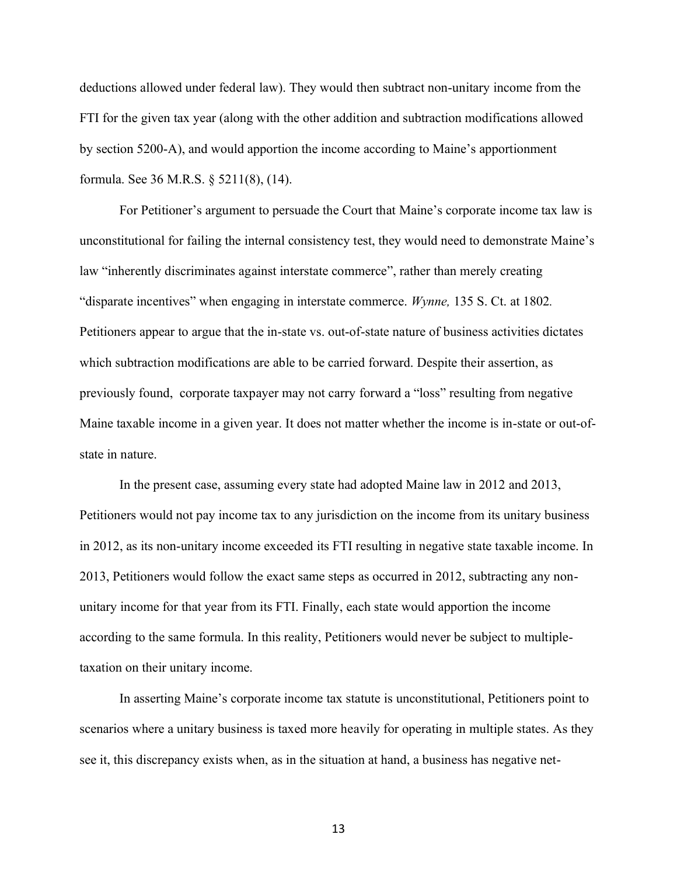deductions allowed under federal law). They would then subtract non-unitary income from the FTI for the given tax year (along with the other addition and subtraction modifications allowed by section 5200-A), and would apportion the income according to Maine's apportionment formula. See 36 M.R.S. § 5211(8), (14).

For Petitioner's argument to persuade the Court that Maine's corporate income tax law is unconstitutional for failing the internal consistency test, they would need to demonstrate Maine's law "inherently discriminates against interstate commerce", rather than merely creating "disparate incentives" when engaging in interstate commerce. *Wynne,* 135 S. Ct. at 1802*.*  Petitioners appear to argue that the in-state vs. out-of-state nature of business activities dictates which subtraction modifications are able to be carried forward. Despite their assertion, as previously found, corporate taxpayer may not carry forward a "loss" resulting from negative Maine taxable income in a given year. It does not matter whether the income is in-state or out-ofstate in nature.

In the present case, assuming every state had adopted Maine law in 2012 and 2013, Petitioners would not pay income tax to any jurisdiction on the income from its unitary business in 2012, as its non-unitary income exceeded its FTI resulting in negative state taxable income. In 2013, Petitioners would follow the exact same steps as occurred in 2012, subtracting any nonunitary income for that year from its FTI. Finally, each state would apportion the income according to the same formula. In this reality, Petitioners would never be subject to multipletaxation on their unitary income.

In asserting Maine's corporate income tax statute is unconstitutional, Petitioners point to scenarios where a unitary business is taxed more heavily for operating in multiple states. As they see it, this discrepancy exists when, as in the situation at hand, a business has negative net-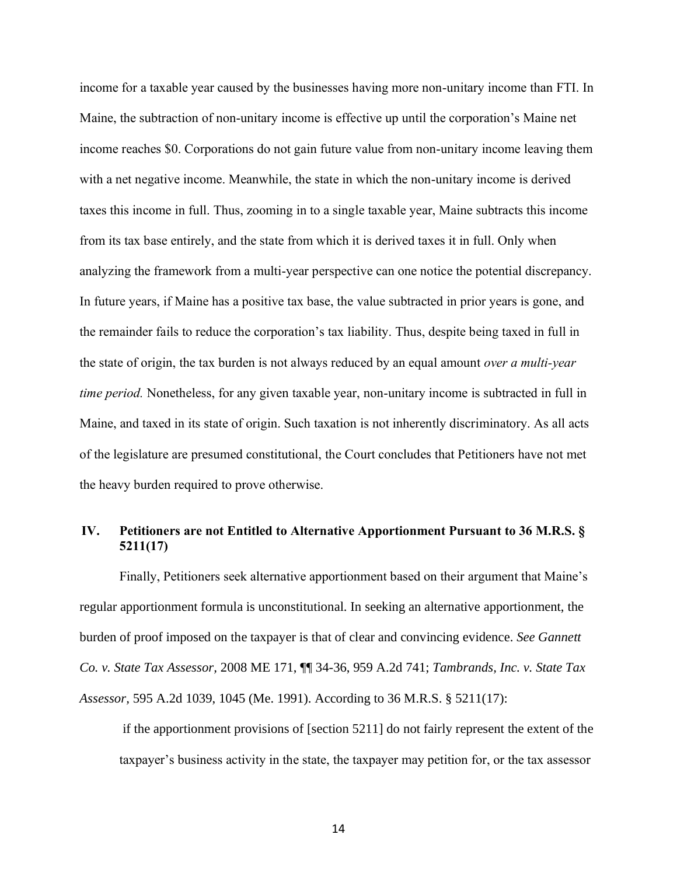income for a taxable year caused by the businesses having more non-unitary income than FTI. In Maine, the subtraction of non-unitary income is effective up until the corporation's Maine net income reaches \$0. Corporations do not gain future value from non-unitary income leaving them with a net negative income. Meanwhile, the state in which the non-unitary income is derived taxes this income in full. Thus, zooming in to a single taxable year, Maine subtracts this income from its tax base entirely, and the state from which it is derived taxes it in full. Only when analyzing the framework from a multi-year perspective can one notice the potential discrepancy. In future years, if Maine has a positive tax base, the value subtracted in prior years is gone, and the remainder fails to reduce the corporation's tax liability. Thus, despite being taxed in full in the state of origin, the tax burden is not always reduced by an equal amount *over a multi-year time period.* Nonetheless, for any given taxable year, non-unitary income is subtracted in full in Maine, and taxed in its state of origin. Such taxation is not inherently discriminatory. As all acts of the legislature are presumed constitutional, the Court concludes that Petitioners have not met the heavy burden required to prove otherwise.

# **IV. Petitioners are not Entitled to Alternative Apportionment Pursuant to 36 M.R.S. § 5211(17)**

Finally, Petitioners seek alternative apportionment based on their argument that Maine's regular apportionment formula is unconstitutional. In seeking an alternative apportionment, the burden of proof imposed on the taxpayer is that of clear and convincing evidence. *See Gannett Co. v. State Tax Assessor,* 2008 ME 171, ¶¶ 34-36, 959 A.2d 741; *Tambrands, Inc. v. State Tax Assessor,* 595 A.2d 1039, 1045 (Me. 1991). According to 36 M.R.S. § 5211(17):

if the apportionment provisions of [section 5211] do not fairly represent the extent of the taxpayer's business activity in the state, the taxpayer may petition for, or the tax assessor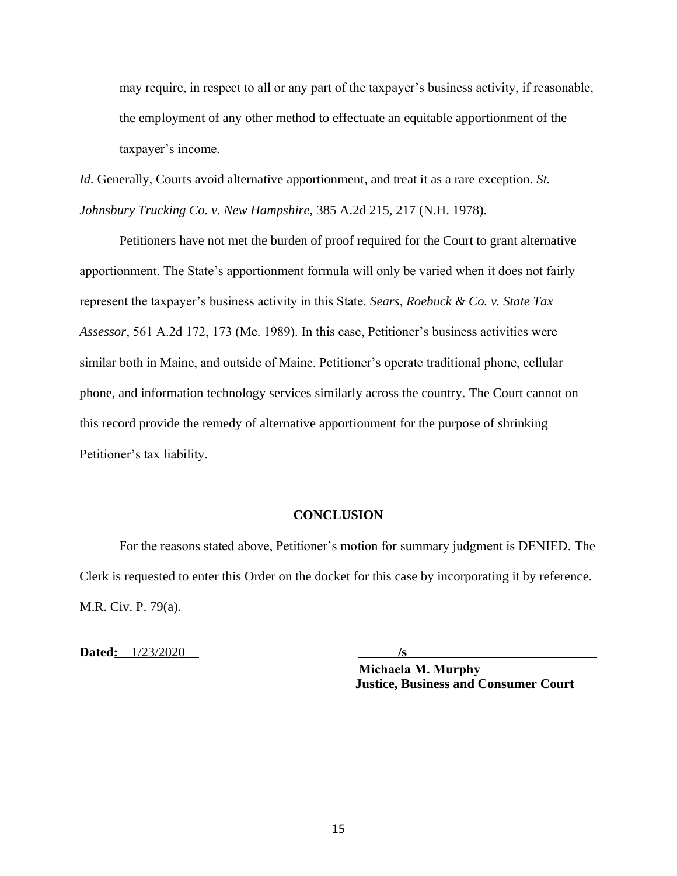may require, in respect to all or any part of the taxpayer's business activity, if reasonable, the employment of any other method to effectuate an equitable apportionment of the taxpayer's income.

*Id.* Generally, Courts avoid alternative apportionment, and treat it as a rare exception. *St. Johnsbury Trucking Co. v. New Hampshire,* 385 A.2d 215, 217 (N.H. 1978).

Petitioners have not met the burden of proof required for the Court to grant alternative apportionment. The State's apportionment formula will only be varied when it does not fairly represent the taxpayer's business activity in this State. *Sears, Roebuck & Co. v. State Tax Assessor*, 561 A.2d 172, 173 (Me. 1989). In this case, Petitioner's business activities were similar both in Maine, and outside of Maine. Petitioner's operate traditional phone, cellular phone, and information technology services similarly across the country. The Court cannot on this record provide the remedy of alternative apportionment for the purpose of shrinking Petitioner's tax liability.

#### **CONCLUSION**

For the reasons stated above, Petitioner's motion for summary judgment is DENIED. The Clerk is requested to enter this Order on the docket for this case by incorporating it by reference. M.R. Civ. P. 79(a).

**Dated:** 1/23/2020 **/s**

**Justice, Business and Consumer Court Michaela M. Murphy**